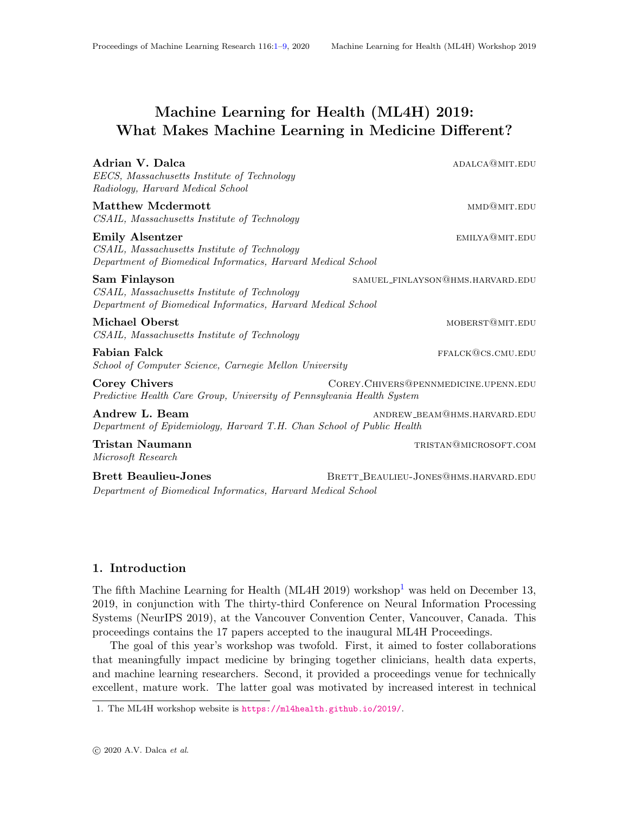# <span id="page-0-0"></span>Machine Learning for Health (ML4H) 2019: What Makes Machine Learning in Medicine Different?

| Adrian V. Dalca<br>EECS, Massachusetts Institute of Technology<br>Radiology, Harvard Medical School                                    | ADALCA@MIT.EDU                        |
|----------------------------------------------------------------------------------------------------------------------------------------|---------------------------------------|
| Matthew Mcdermott<br>CSAIL, Massachusetts Institute of Technology                                                                      | MMD@MIT.EDU                           |
| <b>Emily Alsentzer</b><br>CSAIL, Massachusetts Institute of Technology<br>Department of Biomedical Informatics, Harvard Medical School | EMILYA@MIT.EDU                        |
| Sam Finlayson<br>CSAIL, Massachusetts Institute of Technology<br>Department of Biomedical Informatics, Harvard Medical School          | SAMUEL_FINLAYSON@HMS.HARVARD.EDU      |
| <b>Michael Oberst</b><br>CSAIL, Massachusetts Institute of Technology                                                                  | MOBERST@MIT.EDU                       |
| Fabian Falck<br>School of Computer Science, Carnegie Mellon University                                                                 | FFALCK@CS.CMU.EDU                     |
| Corey Chivers<br>Predictive Health Care Group, University of Pennsylvania Health System                                                | COREY. CHIVERS@PENNMEDICINE.UPENN.EDU |
| Andrew L. Beam<br>Department of Epidemiology, Harvard T.H. Chan School of Public Health                                                | ANDREW_BEAM@HMS.HARVARD.EDU           |
| Tristan Naumann<br>Microsoft Research                                                                                                  | TRISTAN@MICROSOFT.COM                 |
| <b>Brett Beaulieu-Jones</b><br>Department of Biomedical Informatics, Harvard Medical School                                            | BRETT_BEAULIEU-JONES@HMS.HARVARD.EDU  |

#### 1. Introduction

The fifth Machine Learning for Health (ML4H 20[1](#page-0-1)9) workshop<sup>1</sup> was held on December 13, 2019, in conjunction with The thirty-third Conference on Neural Information Processing Systems (NeurIPS 2019), at the Vancouver Convention Center, Vancouver, Canada. This proceedings contains the 17 papers accepted to the inaugural ML4H Proceedings.

The goal of this year's workshop was twofold. First, it aimed to foster collaborations that meaningfully impact medicine by bringing together clinicians, health data experts, and machine learning researchers. Second, it provided a proceedings venue for technically excellent, mature work. The latter goal was motivated by increased interest in technical

<span id="page-0-1"></span><sup>1.</sup> The ML4H workshop website is <https://ml4health.github.io/2019/>.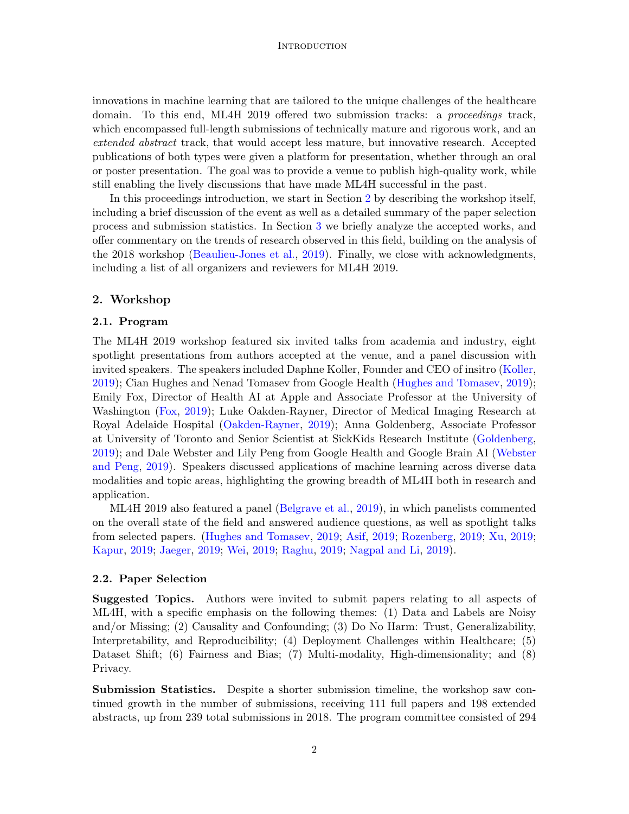#### **INTRODUCTION**

innovations in machine learning that are tailored to the unique challenges of the healthcare domain. To this end, ML4H 2019 offered two submission tracks: a *proceedings* track, which encompassed full-length submissions of technically mature and rigorous work, and an extended abstract track, that would accept less mature, but innovative research. Accepted publications of both types were given a platform for presentation, whether through an oral or poster presentation. The goal was to provide a venue to publish high-quality work, while still enabling the lively discussions that have made ML4H successful in the past.

In this proceedings introduction, we start in Section [2](#page-1-0) by describing the workshop itself, including a brief discussion of the event as well as a detailed summary of the paper selection process and submission statistics. In Section [3](#page-2-0) we briefly analyze the accepted works, and offer commentary on the trends of research observed in this field, building on the analysis of the 2018 workshop [\(Beaulieu-Jones et al.,](#page-7-0) [2019\)](#page-7-0). Finally, we close with acknowledgments, including a list of all organizers and reviewers for ML4H 2019.

## <span id="page-1-0"></span>2. Workshop

### 2.1. Program

The ML4H 2019 workshop featured six invited talks from academia and industry, eight spotlight presentations from authors accepted at the venue, and a panel discussion with invited speakers. The speakers included Daphne Koller, Founder and CEO of insitro [\(Koller,](#page-7-1) [2019\)](#page-7-1); Cian Hughes and Nenad Tomasev from Google Health [\(Hughes and Tomasev,](#page-7-2) [2019\)](#page-7-2); Emily Fox, Director of Health AI at Apple and Associate Professor at the University of Washington [\(Fox,](#page-7-3) [2019\)](#page-7-3); Luke Oakden-Rayner, Director of Medical Imaging Research at Royal Adelaide Hospital [\(Oakden-Rayner,](#page-8-1) [2019\)](#page-8-1); Anna Goldenberg, Associate Professor at University of Toronto and Senior Scientist at SickKids Research Institute [\(Goldenberg,](#page-7-4) [2019\)](#page-7-4); and Dale Webster and Lily Peng from Google Health and Google Brain AI [\(Webster](#page-8-2) [and Peng,](#page-8-2) [2019\)](#page-8-2). Speakers discussed applications of machine learning across diverse data modalities and topic areas, highlighting the growing breadth of ML4H both in research and application.

ML4H 2019 also featured a panel [\(Belgrave et al.,](#page-7-5) [2019\)](#page-7-5), in which panelists commented on the overall state of the field and answered audience questions, as well as spotlight talks from selected papers. [\(Hughes and Tomasev,](#page-7-2) [2019;](#page-7-2) [Asif,](#page-7-6) [2019;](#page-7-6) [Rozenberg,](#page-8-3) [2019;](#page-8-3) [Xu,](#page-8-4) [2019;](#page-8-4) [Kapur,](#page-7-7) [2019;](#page-7-7) [Jaeger,](#page-7-8) [2019;](#page-7-8) [Wei,](#page-8-5) [2019;](#page-8-5) [Raghu,](#page-8-6) [2019;](#page-8-6) [Nagpal and Li,](#page-8-7) [2019\)](#page-8-7).

#### 2.2. Paper Selection

Suggested Topics. Authors were invited to submit papers relating to all aspects of ML4H, with a specific emphasis on the following themes: (1) Data and Labels are Noisy and/or Missing; (2) Causality and Confounding; (3) Do No Harm: Trust, Generalizability, Interpretability, and Reproducibility; (4) Deployment Challenges within Healthcare; (5) Dataset Shift; (6) Fairness and Bias; (7) Multi-modality, High-dimensionality; and (8) Privacy.

Submission Statistics. Despite a shorter submission timeline, the workshop saw continued growth in the number of submissions, receiving 111 full papers and 198 extended abstracts, up from 239 total submissions in 2018. The program committee consisted of 294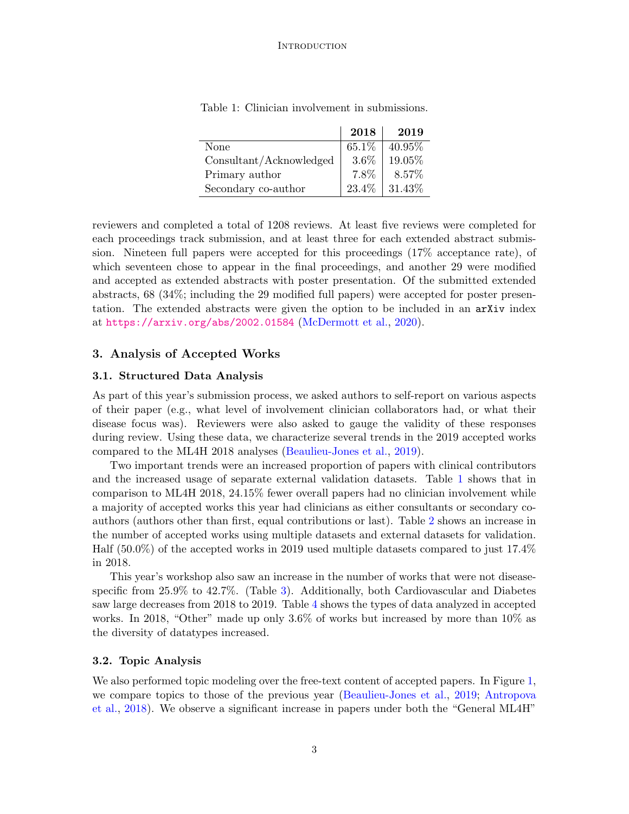|                         | 2018    | 2019      |
|-------------------------|---------|-----------|
| None                    | 65.1\%  | $40.95\%$ |
| Consultant/Acknowledged | $3.6\%$ | 19.05%    |
| Primary author          | 7.8%    | 8.57%     |
| Secondary co-author     | 23.4%   | 31.43%    |

<span id="page-2-1"></span>Table 1: Clinician involvement in submissions.

reviewers and completed a total of 1208 reviews. At least five reviews were completed for each proceedings track submission, and at least three for each extended abstract submission. Nineteen full papers were accepted for this proceedings (17% acceptance rate), of which seventeen chose to appear in the final proceedings, and another 29 were modified and accepted as extended abstracts with poster presentation. Of the submitted extended abstracts, 68 (34%; including the 29 modified full papers) were accepted for poster presentation. The extended abstracts were given the option to be included in an arXiv index at <https://arxiv.org/abs/2002.01584> [\(McDermott et al.,](#page-8-8) [2020\)](#page-8-8).

# <span id="page-2-0"></span>3. Analysis of Accepted Works

#### 3.1. Structured Data Analysis

As part of this year's submission process, we asked authors to self-report on various aspects of their paper (e.g., what level of involvement clinician collaborators had, or what their disease focus was). Reviewers were also asked to gauge the validity of these responses during review. Using these data, we characterize several trends in the 2019 accepted works compared to the ML4H 2018 analyses [\(Beaulieu-Jones et al.,](#page-7-0) [2019\)](#page-7-0).

Two important trends were an increased proportion of papers with clinical contributors and the increased usage of separate external validation datasets. Table [1](#page-2-1) shows that in comparison to ML4H 2018, 24.15% fewer overall papers had no clinician involvement while a majority of accepted works this year had clinicians as either consultants or secondary coauthors (authors other than first, equal contributions or last). Table [2](#page-3-0) shows an increase in the number of accepted works using multiple datasets and external datasets for validation. Half (50.0%) of the accepted works in 2019 used multiple datasets compared to just 17.4% in 2018.

This year's workshop also saw an increase in the number of works that were not diseasespecific from 25.9% to 42.7%. (Table [3\)](#page-3-1). Additionally, both Cardiovascular and Diabetes saw large decreases from 2018 to 2019. Table [4](#page-4-0) shows the types of data analyzed in accepted works. In 2018, "Other" made up only 3.6% of works but increased by more than 10% as the diversity of datatypes increased.

#### 3.2. Topic Analysis

We also performed topic modeling over the free-text content of accepted papers. In Figure [1,](#page-3-2) we compare topics to those of the previous year [\(Beaulieu-Jones et al.,](#page-7-0) [2019;](#page-7-0) [Antropova](#page-7-9) [et al.,](#page-7-9) [2018\)](#page-7-9). We observe a significant increase in papers under both the "General ML4H"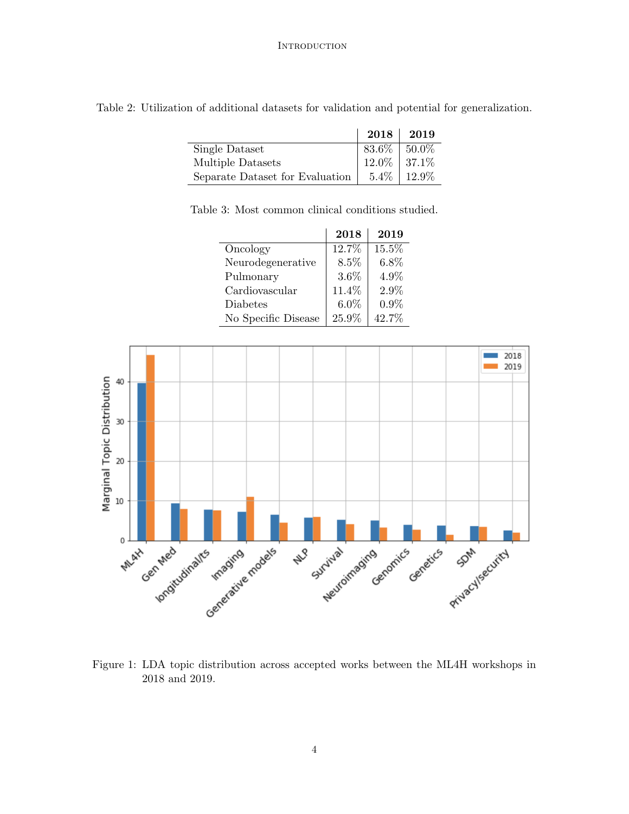<span id="page-3-0"></span>

| Table 2: Utilization of additional datasets for validation and potential for generalization. |  |
|----------------------------------------------------------------------------------------------|--|
|----------------------------------------------------------------------------------------------|--|

|                                 |                   | $2018$   2019   |
|---------------------------------|-------------------|-----------------|
| Single Dataset                  | $83.6\%$   50.0\% |                 |
| Multiple Datasets               | $12.0\%$ 37.1\%   |                 |
| Separate Dataset for Evaluation |                   | $5.4\%$   12.9% |

Table 3: Most common clinical conditions studied.

<span id="page-3-1"></span>2018 2019 Oncology 12.7% 15.5% Neurodegenerative |  $8.5\%$  |  $6.8\%$ Pulmonary | 3.6% | 4.9% Cardiovascular  $11.4\%$  2.9% Diabetes  $6.0\%$   $0.9\%$ No Specific Disease  $\vert$  25.9%  $\vert$  42.7%



<span id="page-3-2"></span>Figure 1: LDA topic distribution across accepted works between the ML4H workshops in 2018 and 2019.

4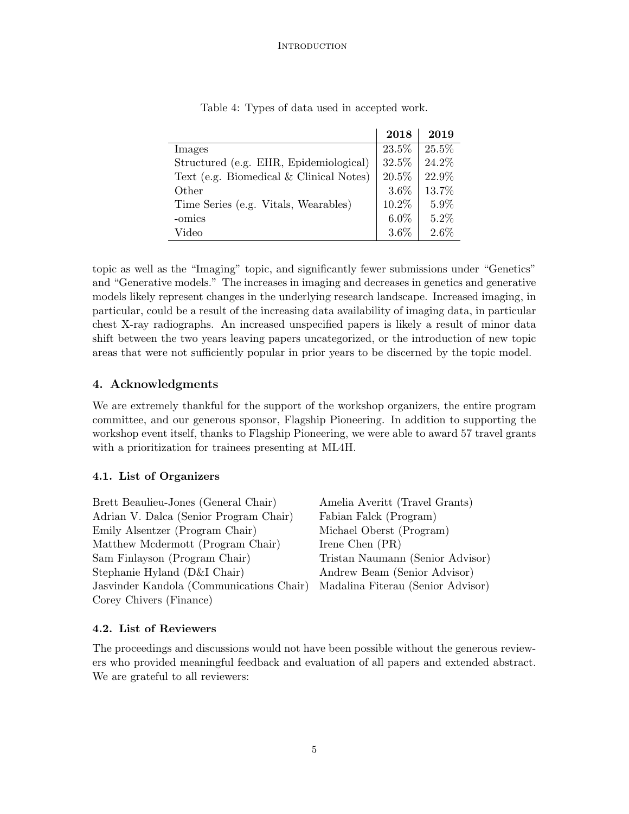|                                           | 2018    | 2019    |
|-------------------------------------------|---------|---------|
| Images                                    | 23.5%   | 25.5%   |
| Structured (e.g. EHR, Epidemiological)    | 32.5%   | 24.2%   |
| Text (e.g. Biomedical $&$ Clinical Notes) | 20.5%   | 22.9%   |
| Other                                     | $3.6\%$ | 13.7%   |
| Time Series (e.g. Vitals, Wearables)      | 10.2%   | 5.9%    |
| -omics                                    | $6.0\%$ | 5.2%    |
| Video                                     | $3.6\%$ | $2.6\%$ |

<span id="page-4-0"></span>Table 4: Types of data used in accepted work.

topic as well as the "Imaging" topic, and significantly fewer submissions under "Genetics" and "Generative models." The increases in imaging and decreases in genetics and generative models likely represent changes in the underlying research landscape. Increased imaging, in particular, could be a result of the increasing data availability of imaging data, in particular chest X-ray radiographs. An increased unspecified papers is likely a result of minor data shift between the two years leaving papers uncategorized, or the introduction of new topic areas that were not sufficiently popular in prior years to be discerned by the topic model.

# 4. Acknowledgments

We are extremely thankful for the support of the workshop organizers, the entire program committee, and our generous sponsor, Flagship Pioneering. In addition to supporting the workshop event itself, thanks to Flagship Pioneering, we were able to award 57 travel grants with a prioritization for trainees presenting at ML4H.

# 4.1. List of Organizers

Brett Beaulieu-Jones (General Chair) Adrian V. Dalca (Senior Program Chair) Emily Alsentzer (Program Chair) Matthew Mcdermott (Program Chair) Sam Finlayson (Program Chair) Stephanie Hyland (D&I Chair) Jasvinder Kandola (Communications Chair) Corey Chivers (Finance)

Amelia Averitt (Travel Grants) Fabian Falck (Program) Michael Oberst (Program) Irene Chen (PR) Tristan Naumann (Senior Advisor) Andrew Beam (Senior Advisor) Madalina Fiterau (Senior Advisor)

# 4.2. List of Reviewers

The proceedings and discussions would not have been possible without the generous reviewers who provided meaningful feedback and evaluation of all papers and extended abstract. We are grateful to all reviewers: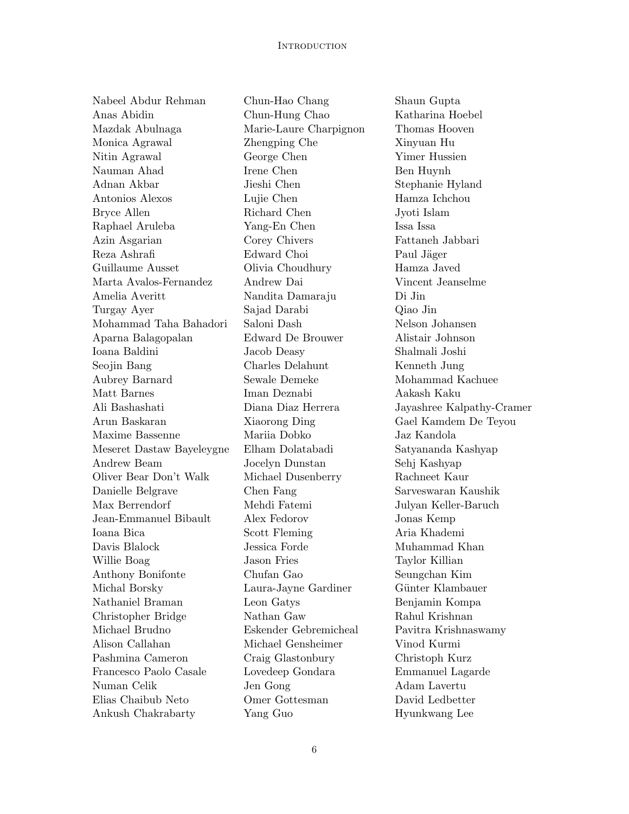Nabeel Abdur Rehman Anas Abidin Mazdak Abulnaga Monica Agrawal Nitin Agrawal Nauman Ahad Adnan Akbar Antonios Alexos Bryce Allen Raphael Aruleba Azin Asgarian Reza Ashrafi Guillaume Ausset Marta Avalos-Fernandez Amelia Averitt Turgay Ayer Mohammad Taha Bahadori Aparna Balagopalan Ioana Baldini Seojin Bang Aubrey Barnard Matt Barnes Ali Bashashati Arun Baskaran Maxime Bassenne Meseret Dastaw Bayeleygne Andrew Beam Oliver Bear Don't Walk Danielle Belgrave Max Berrendorf Jean-Emmanuel Bibault Ioana Bica Davis Blalock Willie Boag Anthony Bonifonte Michal Borsky Nathaniel Braman Christopher Bridge Michael Brudno Alison Callahan Pashmina Cameron Francesco Paolo Casale Numan Celik Elias Chaibub Neto Ankush Chakrabarty

Chun-Hao Chang Chun-Hung Chao Marie-Laure Charpignon Zhengping Che George Chen Irene Chen Jieshi Chen Lujie Chen Richard Chen Yang-En Chen Corey Chivers Edward Choi Olivia Choudhury Andrew Dai Nandita Damaraju Sajad Darabi Saloni Dash Edward De Brouwer Jacob Deasy Charles Delahunt Sewale Demeke Iman Deznabi Diana Diaz Herrera Xiaorong Ding Mariia Dobko Elham Dolatabadi Jocelyn Dunstan Michael Dusenberry Chen Fang Mehdi Fatemi Alex Fedorov Scott Fleming Jessica Forde Jason Fries Chufan Gao Laura-Jayne Gardiner Leon Gatys Nathan Gaw Eskender Gebremicheal Michael Gensheimer Craig Glastonbury Lovedeep Gondara Jen Gong Omer Gottesman Yang Guo

Shaun Gupta Katharina Hoebel Thomas Hooven Xinyuan Hu Yimer Hussien Ben Huynh Stephanie Hyland Hamza Ichchou Jyoti Islam Issa Issa Fattaneh Jabbari Paul Jäger Hamza Javed Vincent Jeanselme Di Jin Qiao Jin Nelson Johansen Alistair Johnson Shalmali Joshi Kenneth Jung Mohammad Kachuee Aakash Kaku Jayashree Kalpathy-Cramer Gael Kamdem De Teyou Jaz Kandola Satyananda Kashyap Sehj Kashyap Rachneet Kaur Sarveswaran Kaushik Julyan Keller-Baruch Jonas Kemp Aria Khademi Muhammad Khan Taylor Killian Seungchan Kim Günter Klambauer Benjamin Kompa Rahul Krishnan Pavitra Krishnaswamy Vinod Kurmi Christoph Kurz Emmanuel Lagarde Adam Lavertu David Ledbetter Hyunkwang Lee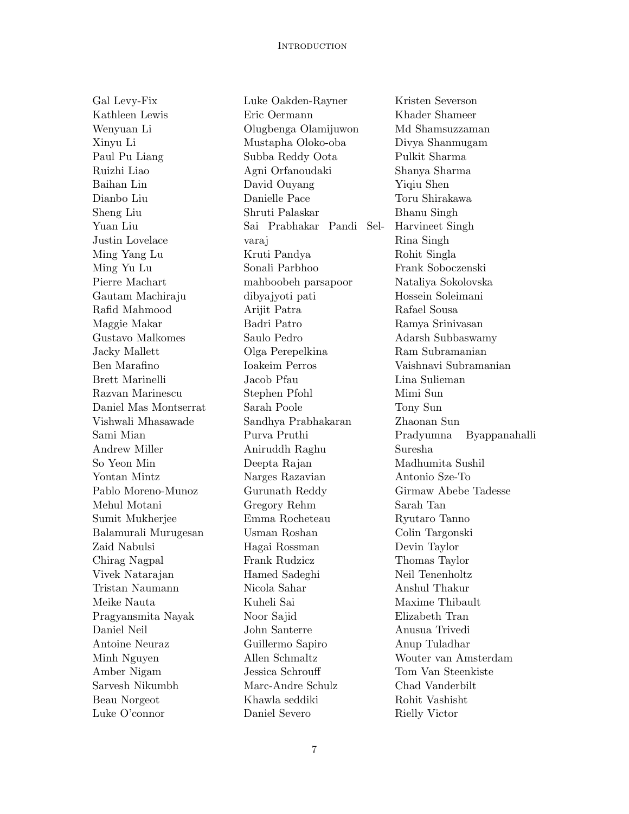Gal Levy-Fix Kathleen Lewis Wenyuan Li Xinyu Li Paul Pu Liang Ruizhi Liao Baihan Lin Dianbo Liu Sheng Liu Yuan Liu Justin Lovelace Ming Yang Lu Ming Yu Lu Pierre Machart Gautam Machiraju Rafid Mahmood Maggie Makar Gustavo Malkomes Jacky Mallett Ben Marafino Brett Marinelli Razvan Marinescu Daniel Mas Montserrat Vishwali Mhasawade Sami Mian Andrew Miller So Yeon Min Yontan Mintz Pablo Moreno-Munoz Mehul Motani Sumit Mukherjee Balamurali Murugesan Zaid Nabulsi Chirag Nagpal Vivek Natarajan Tristan Naumann Meike Nauta Pragyansmita Nayak Daniel Neil Antoine Neuraz Minh Nguyen Amber Nigam Sarvesh Nikumbh Beau Norgeot Luke O'connor

Luke Oakden-Rayner Eric Oermann Olugbenga Olamijuwon Mustapha Oloko-oba Subba Reddy Oota Agni Orfanoudaki David Ouyang Danielle Pace Shruti Palaskar Sai Prabhakar Pandi Selvaraj Kruti Pandya Sonali Parbhoo mahboobeh parsapoor dibyajyoti pati Arijit Patra Badri Patro Saulo Pedro Olga Perepelkina Ioakeim Perros Jacob Pfau Stephen Pfohl Sarah Poole Sandhya Prabhakaran Purva Pruthi Aniruddh Raghu Deepta Rajan Narges Razavian Gurunath Reddy Gregory Rehm Emma Rocheteau Usman Roshan Hagai Rossman Frank Rudzicz Hamed Sadeghi Nicola Sahar Kuheli Sai Noor Sajid John Santerre Guillermo Sapiro Allen Schmaltz Jessica Schrouff Marc-Andre Schulz Khawla seddiki Daniel Severo

Kristen Severson Khader Shameer Md Shamsuzzaman Divya Shanmugam Pulkit Sharma Shanya Sharma Yiqiu Shen Toru Shirakawa Bhanu Singh Harvineet Singh Rina Singh Rohit Singla Frank Soboczenski Nataliya Sokolovska Hossein Soleimani Rafael Sousa Ramya Srinivasan Adarsh Subbaswamy Ram Subramanian Vaishnavi Subramanian Lina Sulieman Mimi Sun Tony Sun Zhaonan Sun Pradyumna Byappanahalli Suresha Madhumita Sushil Antonio Sze-To Girmaw Abebe Tadesse Sarah Tan Ryutaro Tanno Colin Targonski Devin Taylor Thomas Taylor Neil Tenenholtz Anshul Thakur Maxime Thibault Elizabeth Tran Anusua Trivedi Anup Tuladhar Wouter van Amsterdam Tom Van Steenkiste Chad Vanderbilt Rohit Vashisht Rielly Victor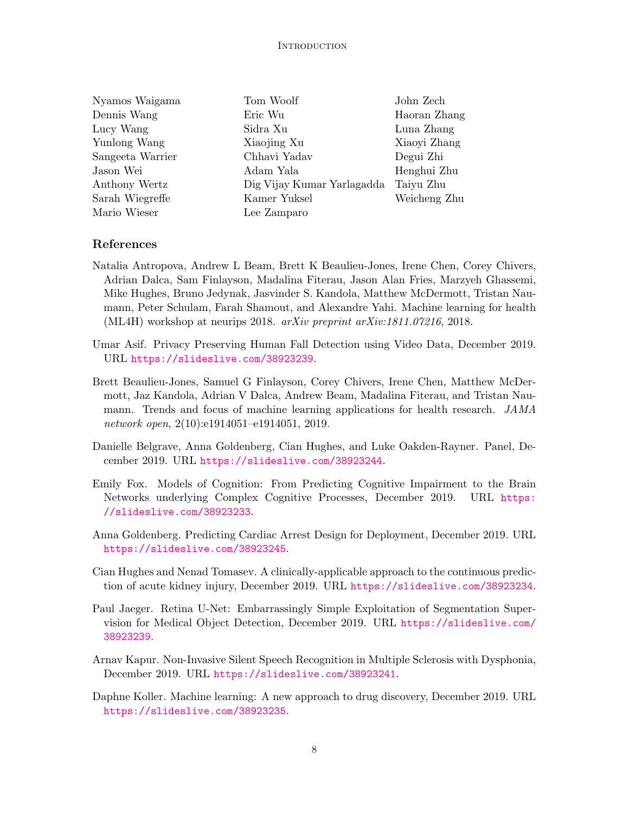| Nyamos Waigama   | Tom Woolf                  | John Zech    |
|------------------|----------------------------|--------------|
| Dennis Wang      | Eric Wu                    | Haoran Zhang |
| Lucy Wang        | Sidra Xu                   | Luna Zhang   |
| Yunlong Wang     | Xiaojing Xu                | Xiaoyi Zhang |
| Sangeeta Warrier | Chhavi Yadav               | Degui Zhi    |
| Jason Wei        | Adam Yala                  | Henghui Zhu  |
| Anthony Wertz    | Dig Vijay Kumar Yarlagadda | Taiyu Zhu    |
| Sarah Wiegreffe  | Kamer Yuksel               | Weicheng Zhu |
| Mario Wieser     | Lee Zamparo                |              |
|                  |                            |              |

#### References

- <span id="page-7-9"></span>Natalia Antropova, Andrew L Beam, Brett K Beaulieu-Jones, Irene Chen, Corey Chivers, Adrian Dalca, Sam Finlayson, Madalina Fiterau, Jason Alan Fries, Marzyeh Ghassemi, Mike Hughes, Bruno Jedynak, Jasvinder S. Kandola, Matthew McDermott, Tristan Naumann, Peter Schulam, Farah Shamout, and Alexandre Yahi. Machine learning for health (ML4H) workshop at neurips 2018. arXiv preprint arXiv:1811.07216, 2018.
- <span id="page-7-6"></span>Umar Asif. Privacy Preserving Human Fall Detection using Video Data, December 2019. URL <https://slideslive.com/38923239>.
- <span id="page-7-0"></span>Brett Beaulieu-Jones, Samuel G Finlayson, Corey Chivers, Irene Chen, Matthew McDermott, Jaz Kandola, Adrian V Dalca, Andrew Beam, Madalina Fiterau, and Tristan Naumann. Trends and focus of machine learning applications for health research. JAMA network open, 2(10):e1914051–e1914051, 2019.
- <span id="page-7-5"></span>Danielle Belgrave, Anna Goldenberg, Cian Hughes, and Luke Oakden-Rayner. Panel, December 2019. URL <https://slideslive.com/38923244>.
- <span id="page-7-3"></span>Emily Fox. Models of Cognition: From Predicting Cognitive Impairment to the Brain Networks underlying Complex Cognitive Processes, December 2019. URL [https:](https://slideslive.com/38923233) [//slideslive.com/38923233](https://slideslive.com/38923233).
- <span id="page-7-4"></span>Anna Goldenberg. Predicting Cardiac Arrest Design for Deployment, December 2019. URL <https://slideslive.com/38923245>.
- <span id="page-7-2"></span>Cian Hughes and Nenad Tomasev. A clinically-applicable approach to the continuous prediction of acute kidney injury, December 2019. URL <https://slideslive.com/38923234>.
- <span id="page-7-8"></span>Paul Jaeger. Retina U-Net: Embarrassingly Simple Exploitation of Segmentation Supervision for Medical Object Detection, December 2019. URL [https://slideslive.com/](https://slideslive.com/38923239) [38923239](https://slideslive.com/38923239).
- <span id="page-7-7"></span>Arnav Kapur. Non-Invasive Silent Speech Recognition in Multiple Sclerosis with Dysphonia, December 2019. URL <https://slideslive.com/38923241>.
- <span id="page-7-1"></span>Daphne Koller. Machine learning: A new approach to drug discovery, December 2019. URL <https://slideslive.com/38923235>.